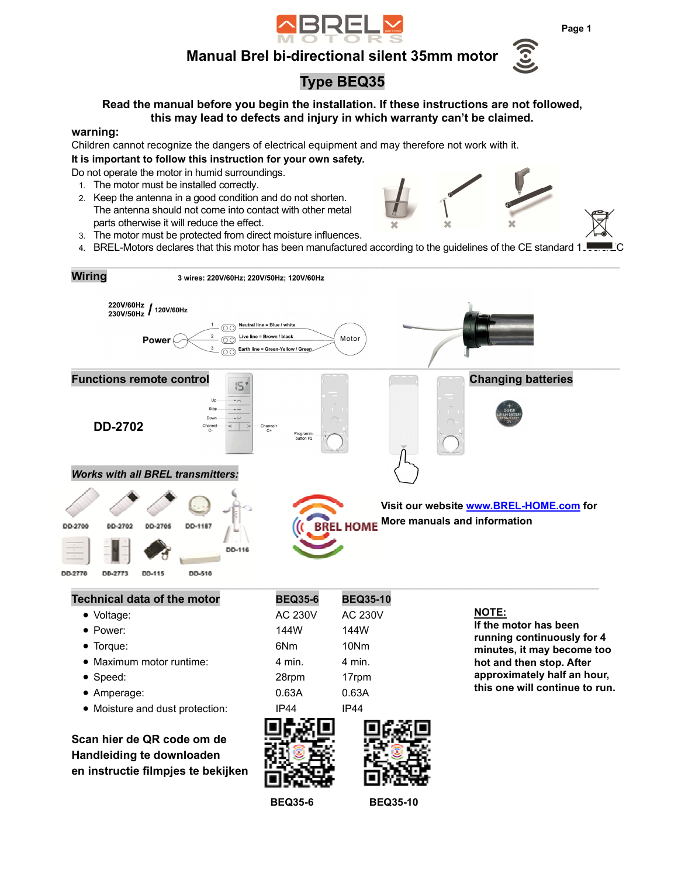

## **Manual Brel bi-directional silent 35mm motor**



# **Type BEQ35**

**Read the manual before you begin the installation. If these instructions are not followed, this may lead to defects and injury in which warranty can't be claimed.** 

#### **warning:**

Children cannot recognize the dangers of electrical equipment and may therefore not work with it. **It is important to follow this instruction for your own safety.** 

Do not operate the motor in humid surroundings.

- 1. The motor must be installed correctly.
- 2. Keep the antenna in a good condition and do not shorten. The antenna should not come into contact with other metal parts otherwise it will reduce the effect.
- 3. The motor must be protected from direct moisture influences.
- 4. BREL-Motors declares that this motor has been manufactured according to the guidelines of the CE standard 1JUSTUR

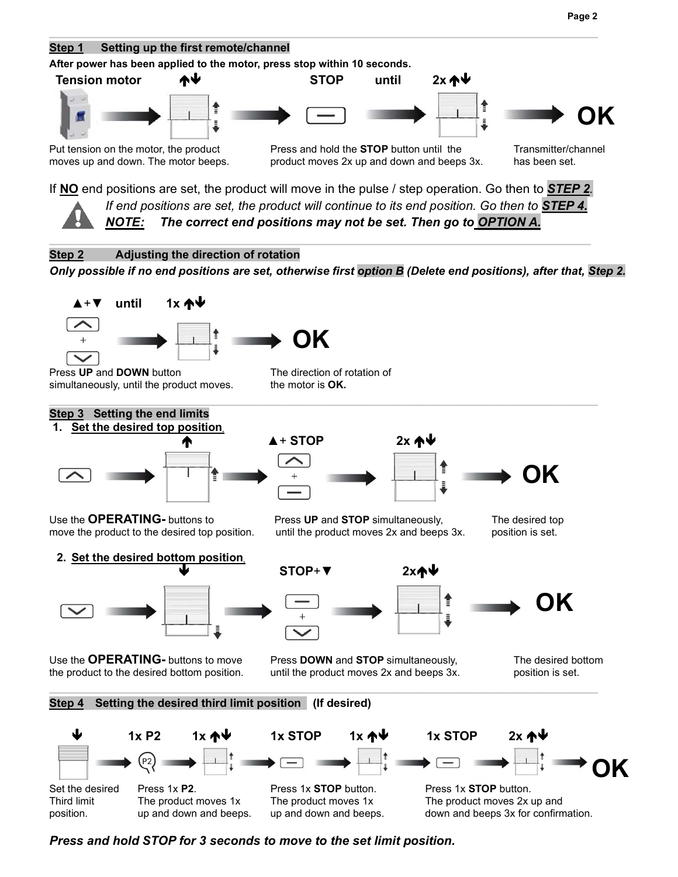



*Press and hold STOP for 3 seconds to move to the set limit position.*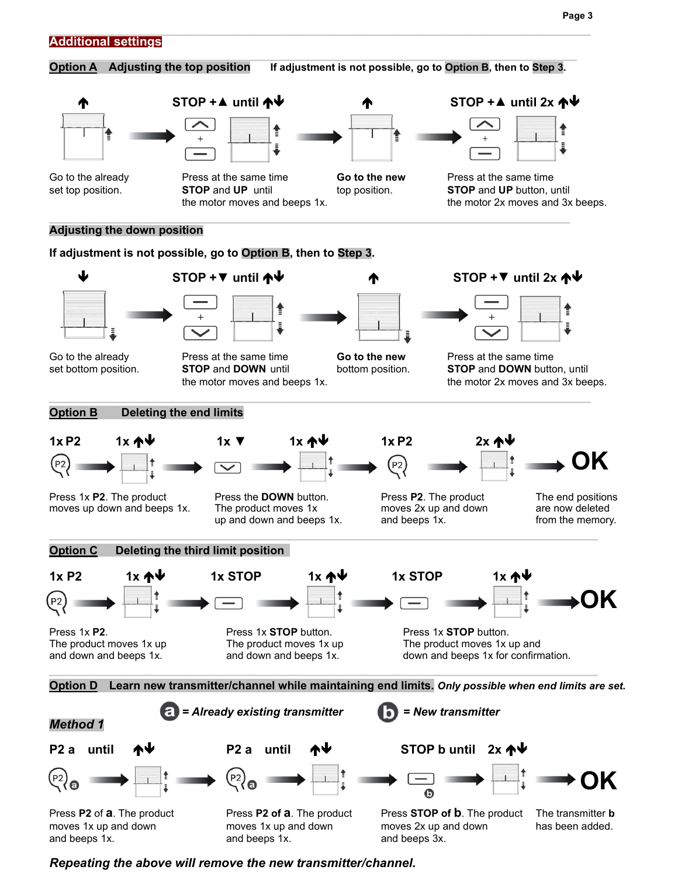

*Repeating the above will remove the new transmitter/channel.* 

and beeps 1x. **and beeps 1x**. **and beeps 1x.** and beeps 3x.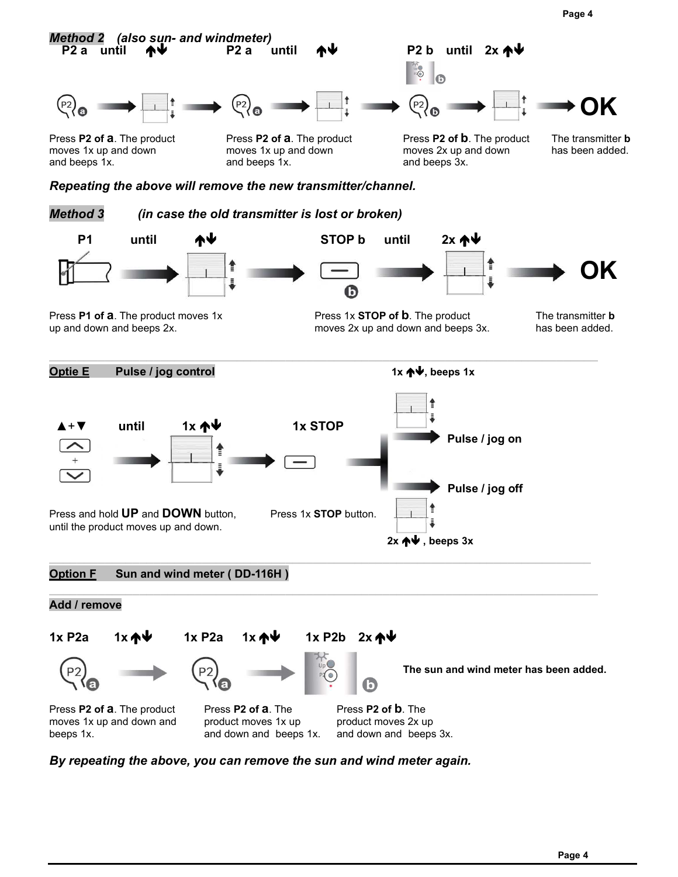**Page 4**



*By repeating the above, you can remove the sun and wind meter again.*